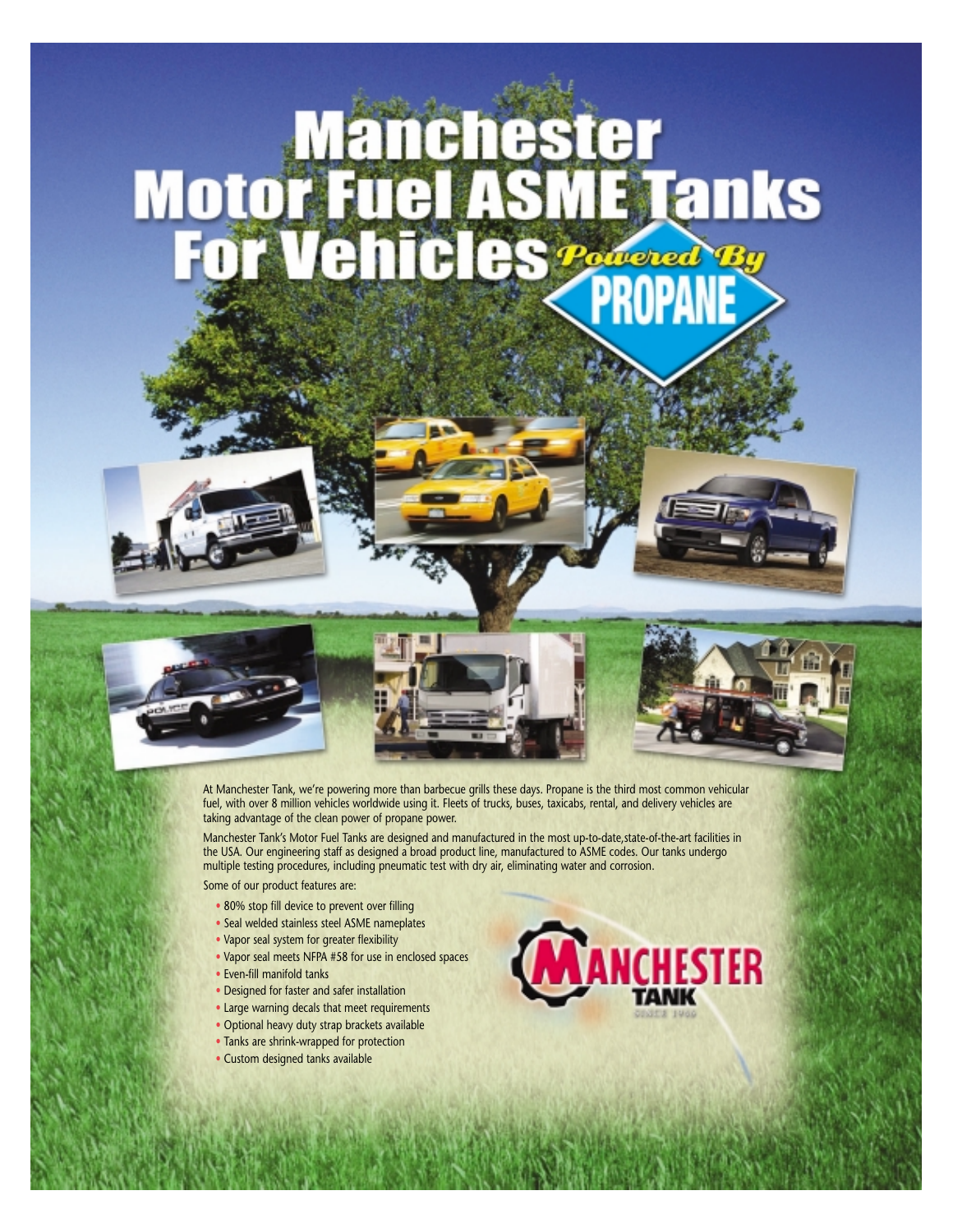## **Manchester<br>Motor Fuel ASME Tanks<br>For Vehicles Party By**







At Manchester Tank, we're powering more than barbecue grills these days. Propane is the third most common vehicular fuel, with over 8 million vehicles worldwide using it. Fleets of trucks, buses, taxicabs, rental, and delivery vehicles are taking advantage of the clean power of propane power.

Manchester Tank's Motor Fuel Tanks are designed and manufactured in the most up-to-date,state-of-the-art facilities in the USA. Our engineering staff as designed a broad product line, manufactured to ASME codes. Our tanks undergo multiple testing procedures, including pneumatic test with dry air, eliminating water and corrosion.

Some of our product features are:

- 80% stop fill device to prevent over filling
- Seal welded stainless steel ASME nameplates
- Vapor seal system for greater flexibility
- Vapor seal meets NFPA #58 for use in enclosed spaces
- Even-fill manifold tanks
- Designed for faster and safer installation
- Large warning decals that meet requirements
- Optional heavy duty strap brackets available
- Tanks are shrink-wrapped for protection
- Custom designed tanks available